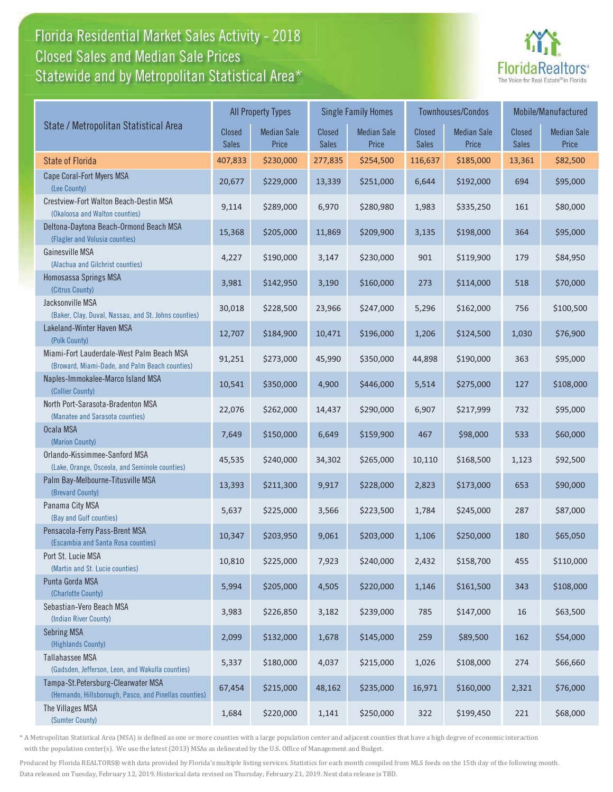## Florida Residential Market Sales Activity - 2018 Florida Residential Market Sales Activity Statewide and by Metropolitan Statistical Area $^{\star}$ Closed Sales and Median Sale Prices



|                                                                                              | <b>All Property Types</b> |                             |                               | <b>Single Family Homes</b>  |                        | <b>Townhouses/Condos</b>    | Mobile/Manufactured    |                             |
|----------------------------------------------------------------------------------------------|---------------------------|-----------------------------|-------------------------------|-----------------------------|------------------------|-----------------------------|------------------------|-----------------------------|
| State / Metropolitan Statistical Area                                                        | Closed<br><b>Sales</b>    | <b>Median Sale</b><br>Price | <b>Closed</b><br><b>Sales</b> | <b>Median Sale</b><br>Price | Closed<br><b>Sales</b> | <b>Median Sale</b><br>Price | Closed<br><b>Sales</b> | <b>Median Sale</b><br>Price |
| <b>State of Florida</b>                                                                      | 407,833                   | \$230,000                   | 277,835                       | \$254,500                   | 116,637                | \$185,000                   | 13,361                 | \$82,500                    |
| Cape Coral-Fort Myers MSA<br>(Lee County)                                                    | 20,677                    | \$229,000                   | 13,339                        | \$251,000                   | 6,644                  | \$192,000                   | 694                    | \$95,000                    |
| Crestview-Fort Walton Beach-Destin MSA<br>(Okaloosa and Walton counties)                     | 9,114                     | \$289,000                   | 6,970                         | \$280,980                   | 1,983                  | \$335,250                   | 161                    | \$80,000                    |
| Deltona-Daytona Beach-Ormond Beach MSA<br>(Flagler and Volusia counties)                     | 15,368                    | \$205,000                   | 11,869                        | \$209,900                   | 3,135                  | \$198,000                   | 364                    | \$95,000                    |
| Gainesville MSA<br>(Alachua and Gilchrist counties)                                          | 4,227                     | \$190,000                   | 3,147                         | \$230,000                   | 901                    | \$119,900                   | 179                    | \$84,950                    |
| Homosassa Springs MSA<br>(Citrus County)                                                     | 3,981                     | \$142,950                   | 3,190                         | \$160,000                   | 273                    | \$114,000                   | 518                    | \$70,000                    |
| Jacksonville MSA<br>(Baker, Clay, Duval, Nassau, and St. Johns counties)                     | 30,018                    | \$228,500                   | 23,966                        | \$247,000                   | 5,296                  | \$162,000                   | 756                    | \$100,500                   |
| Lakeland-Winter Haven MSA<br>(Polk County)                                                   | 12,707                    | \$184,900                   | 10,471                        | \$196,000                   | 1,206                  | \$124,500                   | 1,030                  | \$76,900                    |
| Miami-Fort Lauderdale-West Palm Beach MSA<br>(Broward, Miami-Dade, and Palm Beach counties)  | 91,251                    | \$273,000                   | 45,990                        | \$350,000                   | 44,898                 | \$190,000                   | 363                    | \$95,000                    |
| Naples-Immokalee-Marco Island MSA<br>(Collier County)                                        | 10,541                    | \$350,000                   | 4,900                         | \$446,000                   | 5,514                  | \$275,000                   | 127                    | \$108,000                   |
| North Port-Sarasota-Bradenton MSA<br>(Manatee and Sarasota counties)                         | 22,076                    | \$262,000                   | 14,437                        | \$290,000                   | 6,907                  | \$217,999                   | 732                    | \$95,000                    |
| Ocala MSA<br>(Marion County)                                                                 | 7,649                     | \$150,000                   | 6,649                         | \$159,900                   | 467                    | \$98,000                    | 533                    | \$60,000                    |
| Orlando-Kissimmee-Sanford MSA<br>(Lake, Orange, Osceola, and Seminole counties)              | 45,535                    | \$240,000                   | 34,302                        | \$265,000                   | 10,110                 | \$168,500                   | 1,123                  | \$92,500                    |
| Palm Bay-Melbourne-Titusville MSA<br>(Brevard County)                                        | 13,393                    | \$211,300                   | 9,917                         | \$228,000                   | 2,823                  | \$173,000                   | 653                    | \$90,000                    |
| Panama City MSA<br>(Bay and Gulf counties)                                                   | 5,637                     | \$225,000                   | 3,566                         | \$223,500                   | 1,784                  | \$245,000                   | 287                    | \$87,000                    |
| Pensacola-Ferry Pass-Brent MSA<br>(Escambia and Santa Rosa counties)                         | 10,347                    | \$203,950                   | 9,061                         | \$203,000                   | 1,106                  | \$250,000                   | 180                    | \$65,050                    |
| Port St. Lucie MSA<br>(Martin and St. Lucie counties)                                        | 10,810                    | \$225,000                   | 7,923                         | \$240,000                   | 2,432                  | \$158,700                   | 455                    | \$110,000                   |
| Punta Gorda MSA<br>(Charlotte County)                                                        | 5,994                     | \$205,000                   | 4,505                         | \$220,000                   | 1,146                  | \$161,500                   | 343                    | \$108,000                   |
| Sebastian-Vero Beach MSA<br>(Indian River County)                                            | 3,983                     | \$226,850                   | 3,182                         | \$239,000                   | 785                    | \$147,000                   | 16                     | \$63,500                    |
| <b>Sebring MSA</b><br>(Highlands County)                                                     | 2,099                     | \$132,000                   | 1,678                         | \$145,000                   | 259                    | \$89,500                    | 162                    | \$54,000                    |
| Tallahassee MSA<br>(Gadsden, Jefferson, Leon, and Wakulla counties)                          | 5,337                     | \$180,000                   | 4,037                         | \$215,000                   | 1,026                  | \$108,000                   | 274                    | \$66,660                    |
| Tampa-St.Petersburg-Clearwater MSA<br>(Hernando, Hillsborough, Pasco, and Pinellas counties) | 67,454                    | \$215,000                   | 48,162                        | \$235,000                   | 16,971                 | \$160,000                   | 2,321                  | \$76,000                    |
| The Villages MSA<br>(Sumter County)                                                          | 1,684                     | \$220,000                   | 1,141                         | \$250,000                   | 322                    | \$199,450                   | 221                    | \$68,000                    |

\* A Metropolitan Statistical Area (MSA) is defined as one or more counties with a large population center and adjacent counties that have a high degree of economic interaction with the population center(s). We use the latest (2013) MSAs as delineated by the U.S. Office of Management and Budget.

Produced by Florida REALTORS® with data provided by Florida's multiple listing services. Statistics for each month compiled from MLS feeds on the 15th day of the following month. Data released on Tuesday, February 12, 2019. Historical data revised on Thursday, February 21, 2019. Next data release is TBD.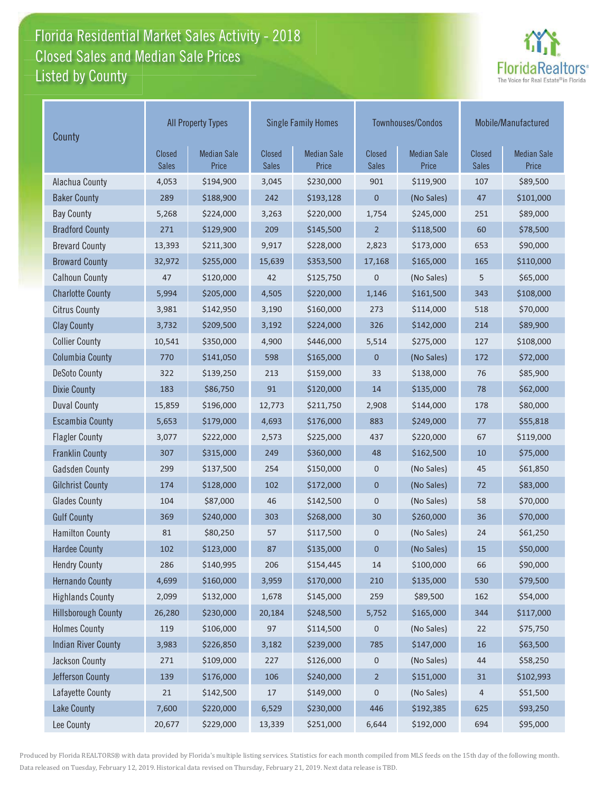## Florida Residential Market Sales Activity - 2018 Florida Residential Market Sales Activity Listed by County Closed Sales and Median Sale Prices



| County                     | <b>All Property Types</b>     |                             |                               | <b>Single Family Homes</b>  |                        | Townhouses/Condos           | Mobile/Manufactured |                             |
|----------------------------|-------------------------------|-----------------------------|-------------------------------|-----------------------------|------------------------|-----------------------------|---------------------|-----------------------------|
|                            | <b>Closed</b><br><b>Sales</b> | <b>Median Sale</b><br>Price | <b>Closed</b><br><b>Sales</b> | <b>Median Sale</b><br>Price | Closed<br><b>Sales</b> | <b>Median Sale</b><br>Price | Closed<br>Sales     | <b>Median Sale</b><br>Price |
| Alachua County             | 4,053                         | \$194,900                   | 3,045                         | \$230,000                   | 901                    | \$119,900                   | 107                 | \$89,500                    |
| <b>Baker County</b>        | 289                           | \$188,900                   | 242                           | \$193,128                   | 0                      | (No Sales)                  | 47                  | \$101,000                   |
| <b>Bay County</b>          | 5,268                         | \$224,000                   | 3,263                         | \$220,000                   | 1,754                  | \$245,000                   | 251                 | \$89,000                    |
| <b>Bradford County</b>     | 271                           | \$129,900                   | 209                           | \$145,500                   | $\overline{2}$         | \$118,500                   | 60                  | \$78,500                    |
| <b>Brevard County</b>      | 13,393                        | \$211,300                   | 9,917                         | \$228,000                   | 2,823                  | \$173,000                   | 653                 | \$90,000                    |
| <b>Broward County</b>      | 32,972                        | \$255,000                   | 15,639                        | \$353,500                   | 17,168                 | \$165,000                   | 165                 | \$110,000                   |
| <b>Calhoun County</b>      | 47                            | \$120,000                   | 42                            | \$125,750                   | 0                      | (No Sales)                  | 5                   | \$65,000                    |
| <b>Charlotte County</b>    | 5,994                         | \$205,000                   | 4,505                         | \$220,000                   | 1,146                  | \$161,500                   | 343                 | \$108,000                   |
| <b>Citrus County</b>       | 3,981                         | \$142,950                   | 3,190                         | \$160,000                   | 273                    | \$114,000                   | 518                 | \$70,000                    |
| <b>Clay County</b>         | 3,732                         | \$209,500                   | 3,192                         | \$224,000                   | 326                    | \$142,000                   | 214                 | \$89,900                    |
| <b>Collier County</b>      | 10,541                        | \$350,000                   | 4,900                         | \$446,000                   | 5,514                  | \$275,000                   | 127                 | \$108,000                   |
| <b>Columbia County</b>     | 770                           | \$141,050                   | 598                           | \$165,000                   | 0                      | (No Sales)                  | 172                 | \$72,000                    |
| <b>DeSoto County</b>       | 322                           | \$139,250                   | 213                           | \$159,000                   | 33                     | \$138,000                   | 76                  | \$85,900                    |
| <b>Dixie County</b>        | 183                           | \$86,750                    | 91                            | \$120,000                   | 14                     | \$135,000                   | 78                  | \$62,000                    |
| <b>Duval County</b>        | 15,859                        | \$196,000                   | 12,773                        | \$211,750                   | 2,908                  | \$144,000                   | 178                 | \$80,000                    |
| <b>Escambia County</b>     | 5,653                         | \$179,000                   | 4,693                         | \$176,000                   | 883                    | \$249,000                   | 77                  | \$55,818                    |
| <b>Flagler County</b>      | 3,077                         | \$222,000                   | 2,573                         | \$225,000                   | 437                    | \$220,000                   | 67                  | \$119,000                   |
| <b>Franklin County</b>     | 307                           | \$315,000                   | 249                           | \$360,000                   | 48                     | \$162,500                   | 10                  | \$75,000                    |
| <b>Gadsden County</b>      | 299                           | \$137,500                   | 254                           | \$150,000                   | 0                      | (No Sales)                  | 45                  | \$61,850                    |
| <b>Gilchrist County</b>    | 174                           | \$128,000                   | 102                           | \$172,000                   | 0                      | (No Sales)                  | 72                  | \$83,000                    |
| <b>Glades County</b>       | 104                           | \$87,000                    | 46                            | \$142,500                   | 0                      | (No Sales)                  | 58                  | \$70,000                    |
| <b>Gulf County</b>         | 369                           | \$240,000                   | 303                           | \$268,000                   | 30                     | \$260,000                   | 36                  | \$70,000                    |
| <b>Hamilton County</b>     | 81                            | \$80,250                    | 57                            | \$117,500                   | 0                      | (No Sales)                  | 24                  | \$61,250                    |
| <b>Hardee County</b>       | 102                           | \$123,000                   | 87                            | \$135,000                   | $\mathbf 0$            | (No Sales)                  | 15                  | \$50,000                    |
| <b>Hendry County</b>       | 286                           | \$140,995                   | 206                           | \$154,445                   | 14                     | \$100,000                   | 66                  | \$90,000                    |
| <b>Hernando County</b>     | 4,699                         | \$160,000                   | 3,959                         | \$170,000                   | 210                    | \$135,000                   | 530                 | \$79,500                    |
| <b>Highlands County</b>    | 2,099                         | \$132,000                   | 1,678                         | \$145,000                   | 259                    | \$89,500                    | 162                 | \$54,000                    |
| <b>Hillsborough County</b> | 26,280                        | \$230,000                   | 20,184                        | \$248,500                   | 5,752                  | \$165,000                   | 344                 | \$117,000                   |
| <b>Holmes County</b>       | 119                           | \$106,000                   | 97                            | \$114,500                   | 0                      | (No Sales)                  | 22                  | \$75,750                    |
| <b>Indian River County</b> | 3,983                         | \$226,850                   | 3,182                         | \$239,000                   | 785                    | \$147,000                   | 16                  | \$63,500                    |
| Jackson County             | 271                           | \$109,000                   | 227                           | \$126,000                   | 0                      | (No Sales)                  | 44                  | \$58,250                    |
| Jefferson County           | 139                           | \$176,000                   | 106                           | \$240,000                   | $\overline{2}$         | \$151,000                   | 31                  | \$102,993                   |
| Lafayette County           | $21\,$                        | \$142,500                   | $17$                          | \$149,000                   | 0                      | (No Sales)                  | 4                   | \$51,500                    |
| <b>Lake County</b>         | 7,600                         | \$220,000                   | 6,529                         | \$230,000                   | 446                    | \$192,385                   | 625                 | \$93,250                    |
| Lee County                 | 20,677                        | \$229,000                   | 13,339                        | \$251,000                   | 6,644                  | \$192,000                   | 694                 | \$95,000                    |

Produced by Florida REALTORS® with data provided by Florida's multiple listing services. Statistics for each month compiled from MLS feeds on the 15th day of the following month. Data released on Tuesday, February 12, 2019. Historical data revised on Thursday, February 21, 2019. Next data release is TBD.